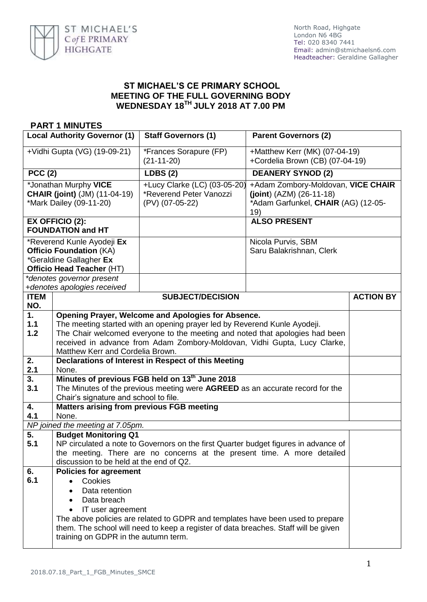

## **ST MICHAEL'S CE PRIMARY SCHOOL MEETING OF THE FULL GOVERNING BODY WEDNESDAY 18 TH JULY 2018 AT 7.00 PM**

## **PART 1 MINUTES**

| <b>Local Authority Governor (1)</b>                                                                                                               |                                                                                                                                                                                                                                                                                                                                  | <b>Staff Governors (1)</b>                                                 | <b>Parent Governors (2)</b>                                                                                    |  |  |  |
|---------------------------------------------------------------------------------------------------------------------------------------------------|----------------------------------------------------------------------------------------------------------------------------------------------------------------------------------------------------------------------------------------------------------------------------------------------------------------------------------|----------------------------------------------------------------------------|----------------------------------------------------------------------------------------------------------------|--|--|--|
| +Vidhi Gupta (VG) (19-09-21)                                                                                                                      |                                                                                                                                                                                                                                                                                                                                  | *Frances Sorapure (FP)<br>$(21-11-20)$                                     | +Matthew Kerr (MK) (07-04-19)<br>+Cordelia Brown (CB) (07-04-19)                                               |  |  |  |
| <b>PCC (2)</b>                                                                                                                                    |                                                                                                                                                                                                                                                                                                                                  | <b>LDBS (2)</b>                                                            | <b>DEANERY SYNOD (2)</b>                                                                                       |  |  |  |
| *Jonathan Murphy VICE<br><b>CHAIR (joint)</b> (JM) (11-04-19)<br>*Mark Dailey (09-11-20)                                                          |                                                                                                                                                                                                                                                                                                                                  | +Lucy Clarke (LC) (03-05-20)<br>*Reverend Peter Vanozzi<br>(PV) (07-05-22) | +Adam Zombory-Moldovan, VICE CHAIR<br>$(joint) (AZM) (26-11-18)$<br>*Adam Garfunkel, CHAIR (AG) (12-05-<br>19) |  |  |  |
| EX OFFICIO (2):<br><b>FOUNDATION and HT</b>                                                                                                       |                                                                                                                                                                                                                                                                                                                                  |                                                                            | <b>ALSO PRESENT</b>                                                                                            |  |  |  |
| *Reverend Kunle Ayodeji Ex<br><b>Officio Foundation (KA)</b><br>*Geraldine Gallagher Ex<br>Officio Head Teacher (HT)<br>*denotes governor present |                                                                                                                                                                                                                                                                                                                                  |                                                                            | Nicola Purvis, SBM<br>Saru Balakrishnan, Clerk                                                                 |  |  |  |
|                                                                                                                                                   | +denotes apologies received                                                                                                                                                                                                                                                                                                      |                                                                            |                                                                                                                |  |  |  |
| <b>ITEM</b><br>NO.                                                                                                                                | <b>SUBJECT/DECISION</b>                                                                                                                                                                                                                                                                                                          |                                                                            | <b>ACTION BY</b>                                                                                               |  |  |  |
| 1.<br>1.1<br>1.2                                                                                                                                  | Opening Prayer, Welcome and Apologies for Absence.<br>The meeting started with an opening prayer led by Reverend Kunle Ayodeji.<br>The Chair welcomed everyone to the meeting and noted that apologies had been<br>received in advance from Adam Zombory-Moldovan, Vidhi Gupta, Lucy Clarke,<br>Matthew Kerr and Cordelia Brown. |                                                                            |                                                                                                                |  |  |  |
| 2.<br>2.1                                                                                                                                         | Declarations of Interest in Respect of this Meeting<br>None.                                                                                                                                                                                                                                                                     |                                                                            |                                                                                                                |  |  |  |
| 3.<br>3.1                                                                                                                                         | Minutes of previous FGB held on 13th June 2018<br>The Minutes of the previous meeting were AGREED as an accurate record for the<br>Chair's signature and school to file.                                                                                                                                                         |                                                                            |                                                                                                                |  |  |  |
| 4.                                                                                                                                                | Matters arising from previous FGB meeting                                                                                                                                                                                                                                                                                        |                                                                            |                                                                                                                |  |  |  |
|                                                                                                                                                   | 4.1<br>None.<br>NP joined the meeting at 7.05pm.                                                                                                                                                                                                                                                                                 |                                                                            |                                                                                                                |  |  |  |
| 5.                                                                                                                                                | <b>Budget Monitoring Q1</b>                                                                                                                                                                                                                                                                                                      |                                                                            |                                                                                                                |  |  |  |
| 5.1                                                                                                                                               | NP circulated a note to Governors on the first Quarter budget figures in advance of<br>the meeting. There are no concerns at the present time. A more detailed<br>discussion to be held at the end of Q2.                                                                                                                        |                                                                            |                                                                                                                |  |  |  |
| 6.                                                                                                                                                | <b>Policies for agreement</b>                                                                                                                                                                                                                                                                                                    |                                                                            |                                                                                                                |  |  |  |
| 6.1                                                                                                                                               | Cookies<br>$\bullet$<br>Data retention<br>$\bullet$<br>Data breach<br>IT user agreement<br>The above policies are related to GDPR and templates have been used to prepare<br>them. The school will need to keep a register of data breaches. Staff will be given<br>training on GDPR in the autumn term.                         |                                                                            |                                                                                                                |  |  |  |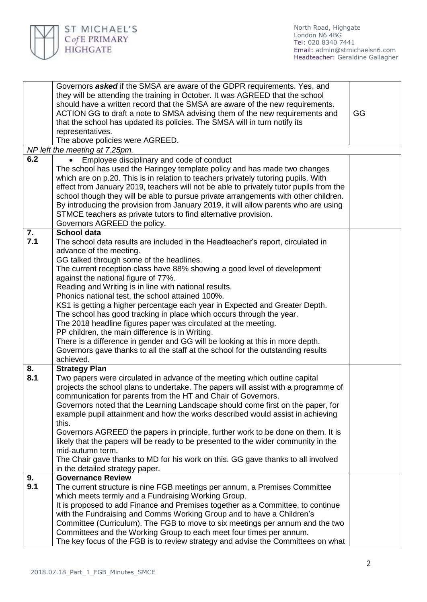

|                                | Governors asked if the SMSA are aware of the GDPR requirements. Yes, and<br>they will be attending the training in October. It was AGREED that the school<br>should have a written record that the SMSA are aware of the new requirements.<br>ACTION GG to draft a note to SMSA advising them of the new requirements and<br>that the school has updated its policies. The SMSA will in turn notify its                                                                                                                                                                                                                                                                                                                                                                                                                                              |  |  |  |  |
|--------------------------------|------------------------------------------------------------------------------------------------------------------------------------------------------------------------------------------------------------------------------------------------------------------------------------------------------------------------------------------------------------------------------------------------------------------------------------------------------------------------------------------------------------------------------------------------------------------------------------------------------------------------------------------------------------------------------------------------------------------------------------------------------------------------------------------------------------------------------------------------------|--|--|--|--|
|                                | representatives.<br>The above policies were AGREED.                                                                                                                                                                                                                                                                                                                                                                                                                                                                                                                                                                                                                                                                                                                                                                                                  |  |  |  |  |
| NP left the meeting at 7.25pm. |                                                                                                                                                                                                                                                                                                                                                                                                                                                                                                                                                                                                                                                                                                                                                                                                                                                      |  |  |  |  |
| 6.2                            | Employee disciplinary and code of conduct                                                                                                                                                                                                                                                                                                                                                                                                                                                                                                                                                                                                                                                                                                                                                                                                            |  |  |  |  |
|                                | The school has used the Haringey template policy and has made two changes<br>which are on p.20. This is in relation to teachers privately tutoring pupils. With<br>effect from January 2019, teachers will not be able to privately tutor pupils from the<br>school though they will be able to pursue private arrangements with other children.<br>By introducing the provision from January 2019, it will allow parents who are using<br>STMCE teachers as private tutors to find alternative provision.<br>Governors AGREED the policy.                                                                                                                                                                                                                                                                                                           |  |  |  |  |
| 7.                             | <b>School data</b>                                                                                                                                                                                                                                                                                                                                                                                                                                                                                                                                                                                                                                                                                                                                                                                                                                   |  |  |  |  |
| 7.1                            | The school data results are included in the Headteacher's report, circulated in<br>advance of the meeting.<br>GG talked through some of the headlines.<br>The current reception class have 88% showing a good level of development<br>against the national figure of 77%.<br>Reading and Writing is in line with national results.<br>Phonics national test, the school attained 100%.<br>KS1 is getting a higher percentage each year in Expected and Greater Depth.<br>The school has good tracking in place which occurs through the year.<br>The 2018 headline figures paper was circulated at the meeting.<br>PP children, the main difference is in Writing.<br>There is a difference in gender and GG will be looking at this in more depth.<br>Governors gave thanks to all the staff at the school for the outstanding results<br>achieved. |  |  |  |  |
| 8.<br>8.1                      | <b>Strategy Plan</b><br>Two papers were circulated in advance of the meeting which outline capital<br>projects the school plans to undertake. The papers will assist with a programme of<br>communication for parents from the HT and Chair of Governors.<br>Governors noted that the Learning Landscape should come first on the paper, for<br>example pupil attainment and how the works described would assist in achieving<br>this.<br>Governors AGREED the papers in principle, further work to be done on them. It is<br>likely that the papers will be ready to be presented to the wider community in the<br>mid-autumn term.<br>The Chair gave thanks to MD for his work on this. GG gave thanks to all involved<br>in the detailed strategy paper.                                                                                         |  |  |  |  |
| 9.                             | <b>Governance Review</b>                                                                                                                                                                                                                                                                                                                                                                                                                                                                                                                                                                                                                                                                                                                                                                                                                             |  |  |  |  |
| 9.1                            | The current structure is nine FGB meetings per annum, a Premises Committee                                                                                                                                                                                                                                                                                                                                                                                                                                                                                                                                                                                                                                                                                                                                                                           |  |  |  |  |
|                                | which meets termly and a Fundraising Working Group.                                                                                                                                                                                                                                                                                                                                                                                                                                                                                                                                                                                                                                                                                                                                                                                                  |  |  |  |  |
|                                | It is proposed to add Finance and Premises together as a Committee, to continue<br>with the Fundraising and Comms Working Group and to have a Children's                                                                                                                                                                                                                                                                                                                                                                                                                                                                                                                                                                                                                                                                                             |  |  |  |  |
|                                | Committee (Curriculum). The FGB to move to six meetings per annum and the two                                                                                                                                                                                                                                                                                                                                                                                                                                                                                                                                                                                                                                                                                                                                                                        |  |  |  |  |
|                                | Committees and the Working Group to each meet four times per annum.                                                                                                                                                                                                                                                                                                                                                                                                                                                                                                                                                                                                                                                                                                                                                                                  |  |  |  |  |
|                                | The key focus of the FGB is to review strategy and advise the Committees on what                                                                                                                                                                                                                                                                                                                                                                                                                                                                                                                                                                                                                                                                                                                                                                     |  |  |  |  |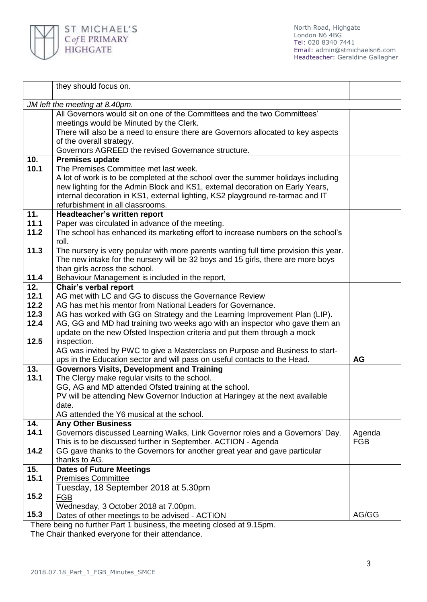

North Road, Highgate London N6 4BG Tel: 020 8340 7441 Email: [admin@stmichaelsn6.com](mailto:admin@stmichaelsn6.com) Headteacher: Geraldine Gallagher

|                                | they should focus on.                                                                |            |  |  |  |
|--------------------------------|--------------------------------------------------------------------------------------|------------|--|--|--|
|                                |                                                                                      |            |  |  |  |
| JM left the meeting at 8.40pm. |                                                                                      |            |  |  |  |
|                                | All Governors would sit on one of the Committees and the two Committees'             |            |  |  |  |
|                                | meetings would be Minuted by the Clerk.                                              |            |  |  |  |
|                                | There will also be a need to ensure there are Governors allocated to key aspects     |            |  |  |  |
|                                | of the overall strategy.                                                             |            |  |  |  |
|                                | Governors AGREED the revised Governance structure.                                   |            |  |  |  |
| 10.                            | <b>Premises update</b>                                                               |            |  |  |  |
| 10.1                           | The Premises Committee met last week.                                                |            |  |  |  |
|                                | A lot of work is to be completed at the school over the summer holidays including    |            |  |  |  |
|                                | new lighting for the Admin Block and KS1, external decoration on Early Years,        |            |  |  |  |
|                                | internal decoration in KS1, external lighting, KS2 playground re-tarmac and IT       |            |  |  |  |
|                                | refurbishment in all classrooms.                                                     |            |  |  |  |
| 11.                            | <b>Headteacher's written report</b>                                                  |            |  |  |  |
| 11.1                           | Paper was circulated in advance of the meeting.                                      |            |  |  |  |
| 11.2                           | The school has enhanced its marketing effort to increase numbers on the school's     |            |  |  |  |
| 11.3                           | roll.                                                                                |            |  |  |  |
|                                | The nursery is very popular with more parents wanting full time provision this year. |            |  |  |  |
|                                | The new intake for the nursery will be 32 boys and 15 girls, there are more boys     |            |  |  |  |
| 11.4                           | than girls across the school.<br>Behaviour Management is included in the report,     |            |  |  |  |
| 12.                            | Chair's verbal report                                                                |            |  |  |  |
| 12.1                           | AG met with LC and GG to discuss the Governance Review                               |            |  |  |  |
| 12.2                           | AG has met his mentor from National Leaders for Governance.                          |            |  |  |  |
| 12.3                           | AG has worked with GG on Strategy and the Learning Improvement Plan (LIP).           |            |  |  |  |
| 12.4                           | AG, GG and MD had training two weeks ago with an inspector who gave them an          |            |  |  |  |
|                                | update on the new Ofsted Inspection criteria and put them through a mock             |            |  |  |  |
| 12.5                           | inspection.                                                                          |            |  |  |  |
|                                | AG was invited by PWC to give a Masterclass on Purpose and Business to start-        |            |  |  |  |
|                                | ups in the Education sector and will pass on useful contacts to the Head.            | <b>AG</b>  |  |  |  |
| 13.                            | <b>Governors Visits, Development and Training</b>                                    |            |  |  |  |
| 13.1                           | The Clergy make regular visits to the school.                                        |            |  |  |  |
|                                | GG, AG and MD attended Ofsted training at the school.                                |            |  |  |  |
|                                | PV will be attending New Governor Induction at Haringey at the next available        |            |  |  |  |
|                                | date.                                                                                |            |  |  |  |
|                                | AG attended the Y6 musical at the school.                                            |            |  |  |  |
| 14.                            | <b>Any Other Business</b>                                                            |            |  |  |  |
| 14.1                           | Governors discussed Learning Walks, Link Governor roles and a Governors' Day.        | Agenda     |  |  |  |
|                                | This is to be discussed further in September. ACTION - Agenda                        | <b>FGB</b> |  |  |  |
| 14.2                           | GG gave thanks to the Governors for another great year and gave particular           |            |  |  |  |
|                                | thanks to AG.                                                                        |            |  |  |  |
| 15.                            | <b>Dates of Future Meetings</b>                                                      |            |  |  |  |
| 15.1                           | <b>Premises Committee</b>                                                            |            |  |  |  |
|                                | Tuesday, 18 September 2018 at 5.30pm                                                 |            |  |  |  |
| 15.2                           | <b>FGB</b>                                                                           |            |  |  |  |
|                                | Wednesday, 3 October 2018 at 7.00pm.                                                 |            |  |  |  |
| 15.3                           | Dates of other meetings to be advised - ACTION                                       | AG/GG      |  |  |  |

There being no further Part 1 business, the meeting closed at 9.15pm.

The Chair thanked everyone for their attendance.